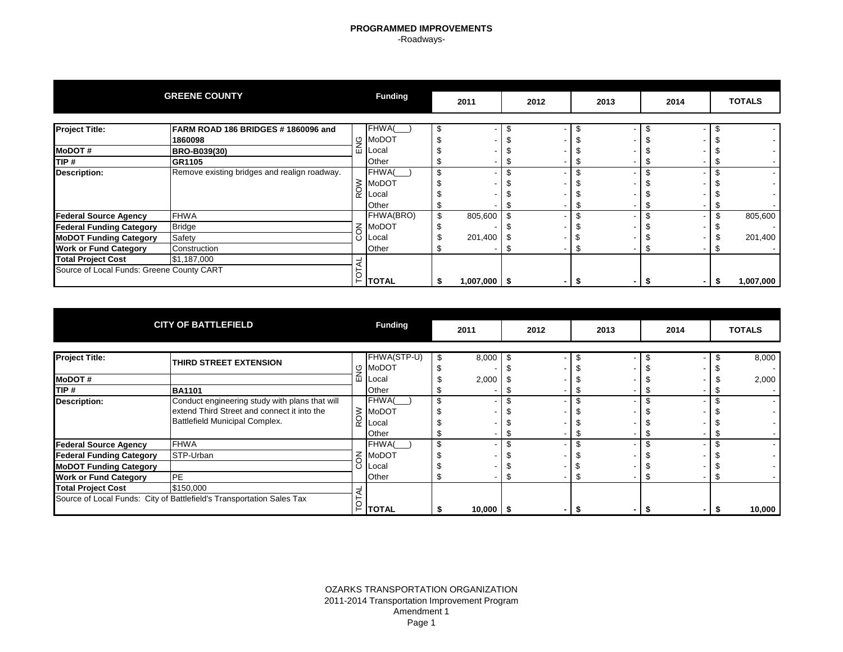### **PROGRAMMED IMPROVEMENTS** -Roadways-

|                                           | <b>GREENE COUNTY</b>                         |    | <b>Funding</b> | 2011             |      | 2012 |      | 2013 | 2014 |      | <b>TOTALS</b> |
|-------------------------------------------|----------------------------------------------|----|----------------|------------------|------|------|------|------|------|------|---------------|
|                                           |                                              |    |                |                  |      |      |      |      |      |      |               |
| <b>Project Title:</b>                     | FARM ROAD 186 BRIDGES #1860096 and           |    | FHWA(          |                  |      |      |      |      |      |      |               |
|                                           | 1860098                                      | O  | <b>MoDOT</b>   |                  |      |      |      |      |      |      |               |
| <b>MoDOT#</b>                             | BRO-B039(30)                                 | 곱  | Local          |                  |      |      |      |      |      |      |               |
| TIP#                                      | <b>GR1105</b>                                |    | Other          |                  |      |      |      |      |      |      |               |
| Description:                              | Remove existing bridges and realign roadway. |    | FHWA(          |                  |      |      |      |      |      |      |               |
|                                           |                                              | ≳  | <b>MoDOT</b>   |                  |      |      |      |      |      |      |               |
|                                           |                                              | õŹ | Local          |                  |      |      |      |      |      |      |               |
|                                           |                                              |    | Other          |                  |      |      |      |      |      |      |               |
| <b>Federal Source Agency</b>              | <b>FHWA</b>                                  |    | FHWA(BRO)      | 805,600          |      |      |      |      |      |      | 805,600       |
| <b>Federal Funding Category</b>           | <b>Bridge</b>                                | K  | <b>MoDOT</b>   |                  |      |      |      |      |      |      |               |
| <b>MoDOT Funding Category</b>             | Safety                                       | ပ  | Local          | 201,400          | - \$ |      |      |      |      |      | 201,400       |
| <b>Work or Fund Category</b>              | Construction                                 |    | Other          |                  |      |      |      |      |      |      |               |
| <b>Total Project Cost</b>                 | \$1,187,000                                  |    |                |                  |      |      |      |      |      |      |               |
| Source of Local Funds: Greene County CART |                                              |    |                |                  |      |      |      |      |      |      |               |
|                                           |                                              | F. | <b>TOTAL</b>   | $1,007,000$   \$ |      |      | - 56 |      |      | - 56 | 1,007,000     |

|                                 | <b>CITY OF BATTLEFIELD</b>                                                                                                      |                | <b>Funding</b>          | 2011        | 2012 | 2013 | 2014 | <b>TOTALS</b>                                        |
|---------------------------------|---------------------------------------------------------------------------------------------------------------------------------|----------------|-------------------------|-------------|------|------|------|------------------------------------------------------|
| <b>Project Title:</b>           | THIRD STREET EXTENSION                                                                                                          |                | FHWA(STP-U)             | 8,000       |      |      |      | 8,000                                                |
| <b>MoDOT#</b>                   |                                                                                                                                 | ৩<br>ш         | MoDOT<br>∟ocal          | 2,000       |      |      |      | 2,000                                                |
| TIP #                           | <b>BA1101</b>                                                                                                                   |                | Other                   |             |      |      |      | $\overline{\phantom{a}}$                             |
| Description:                    | Conduct engineering study with plans that will<br>extend Third Street and connect it into the<br>Battlefield Municipal Complex. | ≥<br>Q<br>Ƙ    | FHWA(<br>MoDOT<br>∟ocal |             |      |      |      | $\sim$<br>$\sim$<br>$\sim$                           |
| <b>Federal Source Agency</b>    | <b>FHWA</b>                                                                                                                     |                | Other<br>FHWA(          |             |      |      |      | $\overline{\phantom{a}}$<br>$\overline{\phantom{a}}$ |
| <b>Federal Funding Category</b> | STP-Urban                                                                                                                       | $\overline{6}$ | <b>MoDOT</b>            |             |      |      |      | $\overline{\phantom{a}}$                             |
| <b>MoDOT Funding Category</b>   |                                                                                                                                 | O              | Local                   |             |      |      |      | $\sim$                                               |
| <b>Work or Fund Category</b>    | PE                                                                                                                              |                | Other                   |             |      |      |      | $\sim$                                               |
| <b>Total Project Cost</b>       | \$150,000<br>Source of Local Funds: City of Battlefield's Transportation Sales Tax                                              | ⊢              | <b>TOTAL</b>            | $10,000$ \$ |      |      |      | 10,000                                               |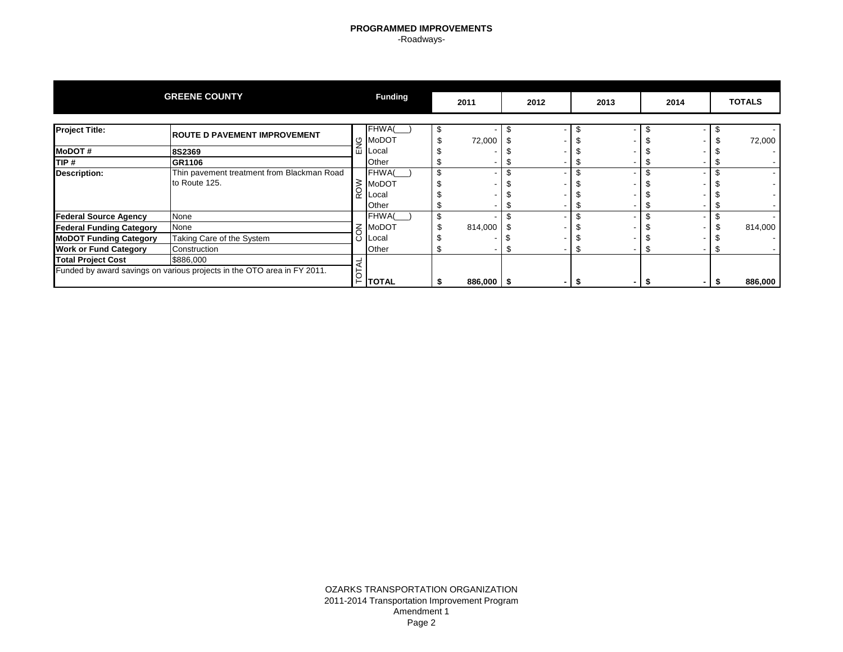### **PROGRAMMED IMPROVEMENTS** -Roadways-

|                                 | <b>GREENE COUNTY</b>                                                    |    | <b>Funding</b> | 2011         | 2012 | 2013 | 2014 |     | <b>TOTALS</b> |
|---------------------------------|-------------------------------------------------------------------------|----|----------------|--------------|------|------|------|-----|---------------|
|                                 |                                                                         |    |                |              |      |      |      |     |               |
| <b>Project Title:</b>           | <b>ROUTE D PAVEMENT IMPROVEMENT</b>                                     |    | FHWA(          |              |      |      |      |     |               |
|                                 |                                                                         | O  | MoDOT          | 72,000       |      |      |      |     | 72,000        |
| <b>MoDOT#</b>                   | 8S2369                                                                  | ш  | Local          |              |      |      |      |     |               |
| TIP#                            | GR1106                                                                  |    | Other          |              |      |      |      |     |               |
| <b>Description:</b>             | Thin pavement treatment from Blackman Road                              |    | FHWA(          |              |      |      |      |     |               |
|                                 | to Route 125.                                                           | 3  | <b>MoDOT</b>   |              |      |      |      |     |               |
|                                 |                                                                         | œ  | Local          |              |      |      |      |     |               |
|                                 |                                                                         |    | Other          |              |      |      |      |     |               |
| <b>Federal Source Agency</b>    | None                                                                    |    | FHWA(          |              |      |      |      |     |               |
| <b>Federal Funding Category</b> | None                                                                    | z  | MoDOT          | 814,000      |      |      |      |     | 814,000       |
| <b>MoDOT Funding Category</b>   | Taking Care of the System                                               | C  | Local          |              |      |      |      |     |               |
| <b>Work or Fund Category</b>    | Construction                                                            |    | Other          |              |      |      |      |     |               |
| <b>Total Project Cost</b>       | \$886,000                                                               |    |                |              |      |      |      |     |               |
|                                 | Funded by award savings on various projects in the OTO area in FY 2011. |    |                |              |      |      |      |     |               |
|                                 |                                                                         | F. | <b>TOTAL</b>   | $886,000$ \$ |      |      |      | -55 | 886,000       |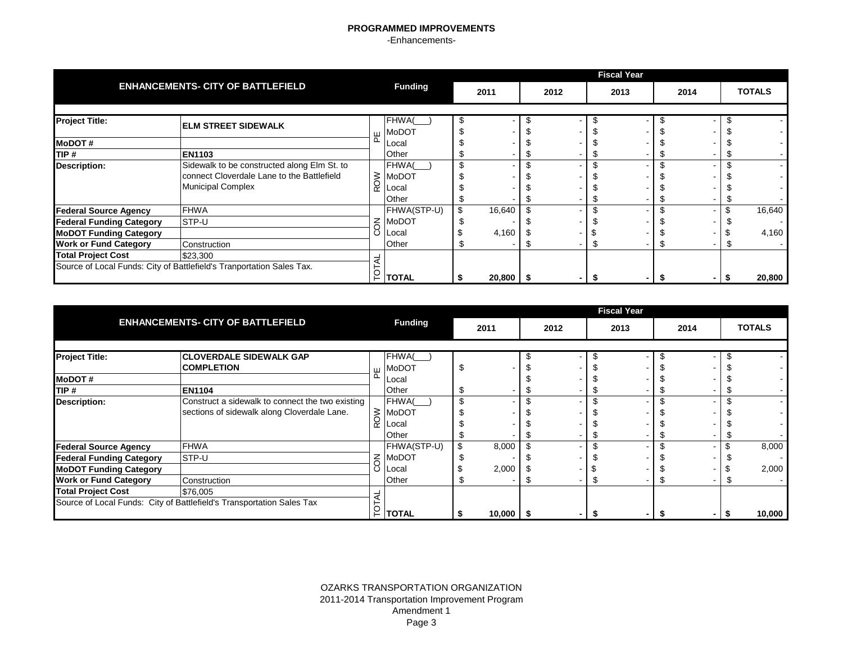|                                 |                                                                                                                       |   |                             |        |    |      | <b>Fiscal Year</b> |      |    |               |
|---------------------------------|-----------------------------------------------------------------------------------------------------------------------|---|-----------------------------|--------|----|------|--------------------|------|----|---------------|
|                                 | <b>ENHANCEMENTS- CITY OF BATTLEFIELD</b>                                                                              |   | <b>Funding</b>              | 2011   |    | 2012 | 2013               | 2014 |    | <b>TOTALS</b> |
|                                 |                                                                                                                       |   |                             |        |    |      |                    |      |    |               |
| <b>Project Title:</b>           | <b>IELM STREET SIDEWALK</b>                                                                                           |   | FHWA(<br>$H$ MoDOT          | \$     | J. |      |                    |      |    |               |
| <b>MoDOT#</b>                   |                                                                                                                       | ௳ | Local                       |        |    |      |                    |      |    |               |
| TIP#                            | <b>EN1103</b>                                                                                                         |   | Other                       |        |    |      |                    |      |    |               |
| <b>Description:</b>             | Sidewalk to be constructed along Elm St. to<br>connect Cloverdale Lane to the Battlefield<br><b>Municipal Complex</b> |   | FHWA(<br>S MoDOT<br>Q Local | \$     |    |      |                    |      |    |               |
|                                 |                                                                                                                       |   | Other                       |        |    |      |                    |      |    |               |
| <b>Federal Source Agency</b>    | <b>FHWA</b>                                                                                                           |   | FHWA(STP-U)                 | 16,640 |    |      |                    |      |    | 16,640        |
| <b>Federal Funding Category</b> | STP-U                                                                                                                 |   | $\leq$ MoDOT                |        |    |      |                    |      |    |               |
| <b>MoDOT Funding Category</b>   |                                                                                                                       | ပ | Local                       | 4,160  |    |      |                    |      |    | 4,160         |
| <b>Work or Fund Category</b>    | Construction                                                                                                          |   | Other                       |        |    |      |                    |      | J. |               |
| <b>Total Project Cost</b>       | \$23,300                                                                                                              |   |                             |        |    |      |                    |      |    |               |
|                                 | Source of Local Funds: City of Battlefield's Tranportation Sales Tax.                                                 | p | <b>TOTAL</b>                | 20,800 |    |      |                    |      |    | 20,800        |

|                                 |                                                                       |   |                |               |      | <b>Fiscal Year</b> |      |               |
|---------------------------------|-----------------------------------------------------------------------|---|----------------|---------------|------|--------------------|------|---------------|
|                                 | <b>ENHANCEMENTS- CITY OF BATTLEFIELD</b>                              |   | <b>Funding</b> | 2011          | 2012 | 2013               | 2014 | <b>TOTALS</b> |
|                                 |                                                                       |   |                |               |      |                    |      |               |
| <b>Project Title:</b>           | <b>CLOVERDALE SIDEWALK GAP</b>                                        |   | FHWA(          |               |      |                    |      |               |
|                                 | <b>COMPLETION</b>                                                     | ш | MoDOT          | \$            |      |                    |      |               |
| <b>IMODOT#</b>                  |                                                                       | ൨ | Local          |               |      |                    |      |               |
| TIP#                            | <b>EN1104</b>                                                         |   | Other          |               |      |                    |      |               |
| <b>Description:</b>             | Construct a sidewalk to connect the two existing                      |   | FHWA(          | \$            |      |                    |      |               |
|                                 | sections of sidewalk along Cloverdale Lane.                           | ≳ | MoDOT          |               |      |                    |      |               |
|                                 |                                                                       | ∝ | Local          |               |      |                    |      |               |
|                                 |                                                                       |   | Other          |               |      |                    |      |               |
| <b>Federal Source Agency</b>    | <b>FHWA</b>                                                           |   | FHWA(STP-U)    | \$<br>8,000   |      |                    |      | 8,000         |
| <b>Federal Funding Category</b> | STP-U                                                                 |   | $\leq$ MoDOT   |               |      |                    |      |               |
| <b>MoDOT Funding Category</b>   |                                                                       | ပ | Local          | 2,000         |      |                    |      | 2,000         |
| <b>Work or Fund Category</b>    | Construction                                                          |   | Other          |               |      |                    |      |               |
| <b>Total Project Cost</b>       | \$76,005                                                              |   |                |               |      |                    |      |               |
|                                 | Source of Local Funds: City of Battlefield's Transportation Sales Tax |   |                |               |      |                    |      |               |
|                                 |                                                                       |   | $P$ тотаl      | $10,000$   \$ |      |                    | - 5  | 10,000        |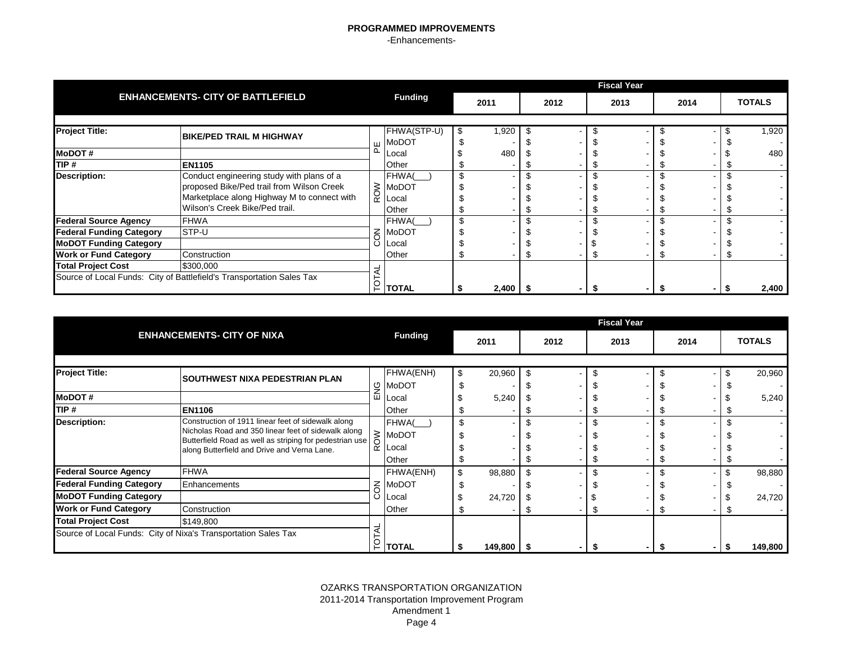|                                 |                                                                                        |            |                             |   |            |      | <b>Fiscal Year</b> |      |               |
|---------------------------------|----------------------------------------------------------------------------------------|------------|-----------------------------|---|------------|------|--------------------|------|---------------|
|                                 | <b>ENHANCEMENTS- CITY OF BATTLEFIELD</b>                                               |            | <b>Funding</b>              |   | 2011       | 2012 | 2013               | 2014 | <b>TOTALS</b> |
| <b>Project Title:</b>           | <b>BIKE/PED TRAIL M HIGHWAY</b>                                                        | Ш          | FHWA(STP-U)<br><b>MoDOT</b> | S | 1,920      |      |                    |      | 1,920         |
| <b>MoDOT#</b>                   |                                                                                        | Δ          | Local                       |   | 480        |      |                    |      | 480           |
| TIP#                            | <b>EN1105</b>                                                                          |            | Other                       |   |            |      |                    |      |               |
| <b>Description:</b>             | Conduct engineering study with plans of a<br>proposed Bike/Ped trail from Wilson Creek | <b>ROW</b> | FHWA(<br><b>MoDOT</b>       |   |            |      |                    |      |               |
|                                 | Marketplace along Highway M to connect with<br>Wilson's Creek Bike/Ped trail.          |            | Local<br>Other              |   |            |      |                    |      |               |
| <b>Federal Source Agency</b>    | <b>FHWA</b>                                                                            |            | <b>FHWA</b>                 |   |            |      |                    |      |               |
| <b>Federal Funding Category</b> | STP-U                                                                                  | $\leq$     | <b>MoDOT</b>                |   |            |      |                    |      |               |
| <b>MoDOT Funding Category</b>   |                                                                                        |            | Local                       |   |            |      |                    |      |               |
| <b>Work or Fund Category</b>    | Construction                                                                           |            | Other                       |   |            |      |                    |      |               |
| <b>Total Project Cost</b>       | \$300,000                                                                              |            |                             |   |            |      |                    |      |               |
|                                 | Source of Local Funds: City of Battlefield's Transportation Sales Tax                  | Ğ          | <b>TOTAL</b>                |   | $2,400$ \$ |      |                    |      | 2,400         |

|                                 |                                                                                                                |         |                          |    |         |      |      | <b>Fiscal Year</b> |      |    |               |
|---------------------------------|----------------------------------------------------------------------------------------------------------------|---------|--------------------------|----|---------|------|------|--------------------|------|----|---------------|
|                                 | <b>ENHANCEMENTS- CITY OF NIXA</b>                                                                              |         | <b>Funding</b>           |    | 2011    |      | 2012 | 2013               | 2014 |    | <b>TOTALS</b> |
|                                 |                                                                                                                |         |                          |    |         |      |      |                    |      |    |               |
| <b>Project Title:</b>           | <b>SOUTHWEST NIXA PEDESTRIAN PLAN</b>                                                                          |         | FHWA(ENH)                | S  | 20,960  |      |      |                    |      |    | 20,960        |
|                                 |                                                                                                                |         | $\frac{\omega}{2}$ MoDOT |    |         |      |      |                    |      |    |               |
| <b>IMoDOT#</b>                  |                                                                                                                | ш       | _ocal                    |    | 5,240   |      |      |                    |      |    | 5,240         |
| TIP #                           | <b>EN1106</b>                                                                                                  |         | Other                    |    |         |      |      |                    |      |    |               |
| Description:                    | Construction of 1911 linear feet of sidewalk along                                                             |         | FHWA(                    | \$ |         |      |      |                    |      |    |               |
|                                 | Nicholas Road and 350 linear feet of sidewalk along<br>Butterfield Road as well as striping for pedestrian use |         | $\geq$ MoDOT             |    |         |      |      |                    |      |    |               |
|                                 | along Butterfield and Drive and Verna Lane.                                                                    | õ<br>œΖ | Local                    |    |         |      |      |                    |      |    |               |
|                                 |                                                                                                                |         | Other                    |    |         |      |      |                    |      |    |               |
| <b>Federal Source Agency</b>    | <b>FHWA</b>                                                                                                    |         | FHWA(ENH)                | \$ | 98,880  |      |      |                    |      |    | 98,880        |
| <b>Federal Funding Category</b> | Enhancements                                                                                                   |         | $\leq$ MoDOT             |    |         |      |      |                    |      |    |               |
| <b>MoDOT Funding Category</b>   |                                                                                                                | ပ       | Local                    |    | 24,720  |      |      |                    |      |    | 24,720        |
| <b>Work or Fund Category</b>    | Construction                                                                                                   |         | Other                    |    |         |      |      |                    |      | J. |               |
| <b>Total Project Cost</b>       | \$149,800                                                                                                      |         |                          |    |         |      |      |                    |      |    |               |
|                                 | Source of Local Funds: City of Nixa's Transportation Sales Tax                                                 |         |                          |    |         |      |      |                    |      |    |               |
|                                 |                                                                                                                |         | $\Gamma$   TOTAL         |    | 149,800 | - 56 |      |                    |      |    | 149,800       |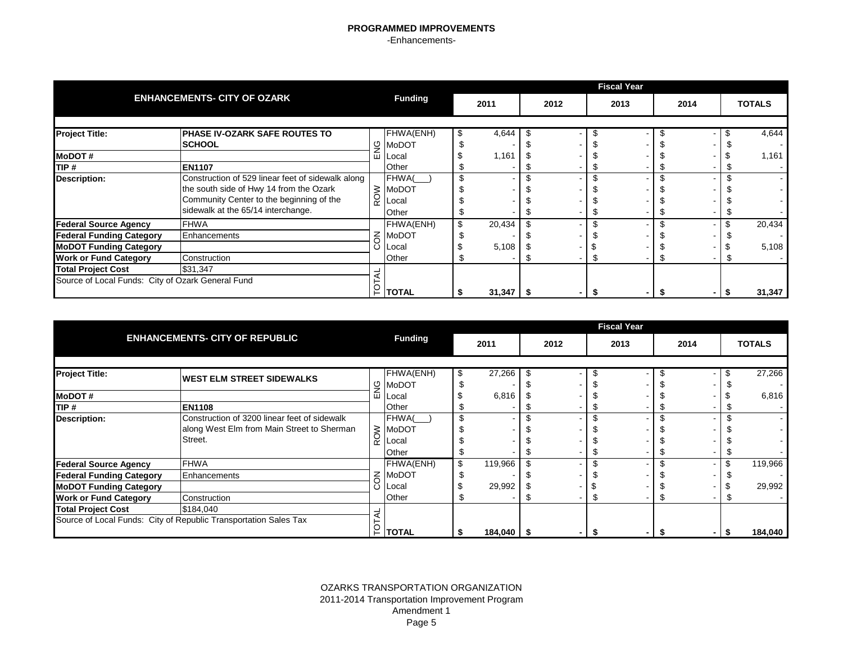|                                                   |                                                   |                |                |              |      | <b>Fiscal Year</b> |      |               |
|---------------------------------------------------|---------------------------------------------------|----------------|----------------|--------------|------|--------------------|------|---------------|
|                                                   | <b>ENHANCEMENTS- CITY OF OZARK</b>                |                | <b>Funding</b> | 2011         | 2012 | 2013               | 2014 | <b>TOTALS</b> |
|                                                   |                                                   |                |                |              |      |                    |      |               |
| <b>Project Title:</b>                             | <b>PHASE IV-OZARK SAFE ROUTES TO</b>              |                | FHWA(ENH)      | 4,644        |      |                    |      | 4,644         |
|                                                   | <b>SCHOOL</b>                                     | 9              | <b>MoDOT</b>   |              |      |                    |      |               |
| <b>MoDOT#</b>                                     |                                                   | ш              | <b>ILocal</b>  | 1,161        |      |                    |      | 1,161         |
| TIP #                                             | <b>EN1107</b>                                     |                | Other          |              |      |                    |      |               |
| <b>Description:</b>                               | Construction of 529 linear feet of sidewalk along |                | FHWA(          | \$           |      |                    |      |               |
|                                                   | the south side of Hwy 14 from the Ozark           | $\delta$       | <b>MoDOT</b>   |              |      |                    |      |               |
|                                                   | Community Center to the beginning of the          | $\alpha$       | Local          |              |      |                    |      |               |
|                                                   | sidewalk at the 65/14 interchange.                |                | Other          |              |      |                    |      |               |
| <b>Federal Source Agency</b>                      | <b>FHWA</b>                                       |                | FHWA(ENH)      | \$<br>20,434 |      |                    |      | 20,434        |
| <b>Federal Funding Category</b>                   | Enhancements                                      |                | $\leq$ MoDOT   |              |      |                    |      |               |
| <b>MoDOT Funding Category</b>                     |                                                   |                | Local          | 5,108        |      |                    |      | 5,108         |
| <b>Work or Fund Category</b>                      | Construction                                      |                | Other          |              |      |                    |      |               |
| <b>Total Project Cost</b>                         | \$31,347                                          |                |                |              |      |                    |      |               |
| Source of Local Funds: City of Ozark General Fund |                                                   | $\overline{5}$ |                |              |      |                    |      |               |
|                                                   |                                                   |                | <b>TOTAL</b>   | 31,347       |      |                    |      | 31,347        |

|                                 |                                                                  |   |                |               |      | <b>Fiscal Year</b> |      |               |
|---------------------------------|------------------------------------------------------------------|---|----------------|---------------|------|--------------------|------|---------------|
|                                 | <b>ENHANCEMENTS- CITY OF REPUBLIC</b>                            |   | <b>Funding</b> | 2011          | 2012 | 2013               | 2014 | <b>TOTALS</b> |
|                                 |                                                                  |   |                |               |      |                    |      |               |
| <b>Project Title:</b>           | <b>WEST ELM STREET SIDEWALKS</b>                                 |   | FHWA(ENH)      | \$<br>27,266  |      |                    |      | 27,266        |
|                                 |                                                                  |   | g MoDOT        |               |      |                    |      |               |
| <b>MoDOT#</b>                   |                                                                  | ш | Local          | 6,816         |      |                    |      | 6,816         |
| TIP#                            | <b>EN1108</b>                                                    |   | Other          |               |      |                    |      |               |
| <b>Description:</b>             | Construction of 3200 linear feet of sidewalk                     |   | FHWA(          | \$            |      |                    |      |               |
|                                 | along West Elm from Main Street to Sherman                       |   | $\geq$ MoDOT   |               |      |                    |      |               |
|                                 | Street.                                                          | œ | Local          |               |      |                    |      |               |
|                                 |                                                                  |   | Other          |               |      |                    |      |               |
| <b>Federal Source Agency</b>    | <b>FHWA</b>                                                      |   | FHWA(ENH)      | \$<br>119,966 |      |                    |      | 119,966       |
| <b>Federal Funding Category</b> | Enhancements                                                     |   | $\leq$ MoDOT   |               |      |                    |      |               |
| <b>MoDOT Funding Category</b>   |                                                                  |   | Local          | 29,992        |      |                    |      | 29,992        |
| <b>Work or Fund Category</b>    | Construction                                                     |   | Other          |               |      |                    |      |               |
| <b>Total Project Cost</b>       | \$184,040                                                        |   |                |               |      |                    |      |               |
|                                 | Source of Local Funds: City of Republic Transportation Sales Tax |   | i ∣TOTAL       | 184,040       |      |                    |      | 184,040       |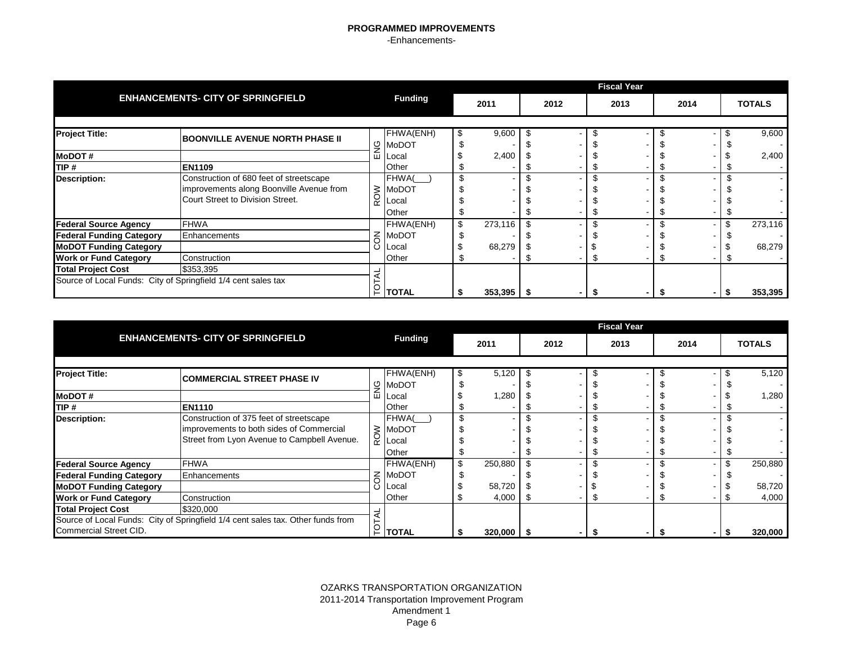|                                                               |                                          |          |                      |               |      | <b>Fiscal Year</b> |      |               |
|---------------------------------------------------------------|------------------------------------------|----------|----------------------|---------------|------|--------------------|------|---------------|
|                                                               | <b>ENHANCEMENTS- CITY OF SPRINGFIELD</b> |          | <b>Funding</b>       | 2011          | 2012 | 2013               | 2014 | <b>TOTALS</b> |
|                                                               |                                          |          |                      |               |      |                    |      |               |
| <b>Project Title:</b>                                         | <b>BOONVILLE AVENUE NORTH PHASE II</b>   |          | FHWA(ENH)            | 9,600         |      |                    |      | 9,600         |
|                                                               |                                          |          | $\frac{10}{2}$ MoDOT |               |      |                    |      |               |
| <b>IMODOT#</b>                                                |                                          |          | Local                | 2,400         |      |                    |      | 2,400         |
| TIP#                                                          | <b>EN1109</b>                            |          | Other                |               |      |                    |      |               |
| <b>Description:</b>                                           | Construction of 680 feet of streetscape  |          | FHWA(                | \$            |      |                    |      |               |
|                                                               | improvements along Boonville Avenue from | $\delta$ | <b>MoDOT</b>         |               |      |                    |      |               |
|                                                               | Court Street to Division Street.         | œ        | Local                |               |      |                    |      |               |
|                                                               |                                          |          | Other                |               |      |                    |      |               |
| <b>Federal Source Agency</b>                                  | <b>FHWA</b>                              |          | FHWA(ENH)            | \$<br>273,116 |      |                    |      | \$<br>273,116 |
| <b>Federal Funding Category</b>                               | Enhancements                             |          | 주 MoDOT              |               |      |                    |      |               |
| <b>MoDOT Funding Category</b>                                 |                                          | Ö        | <b>Local</b>         | 68,279        |      |                    |      | 68,279        |
| <b>Work or Fund Category</b>                                  | Construction                             |          | Other                |               |      |                    |      |               |
| <b>Total Project Cost</b>                                     | \$353,395                                |          |                      |               |      |                    |      |               |
| Source of Local Funds: City of Springfield 1/4 cent sales tax |                                          |          |                      |               |      |                    |      |               |
|                                                               |                                          | ÌОL      | <b>TOTAL</b>         | $353,395$ \$  |      |                    |      | 353,395       |

|                                 |                                                                                 |             |                  |               |      |      | <b>Fiscal Year</b> |      |               |
|---------------------------------|---------------------------------------------------------------------------------|-------------|------------------|---------------|------|------|--------------------|------|---------------|
|                                 | <b>ENHANCEMENTS- CITY OF SPRINGFIELD</b>                                        |             | <b>Funding</b>   | 2011          |      | 2012 | 2013               | 2014 | <b>TOTALS</b> |
|                                 |                                                                                 |             |                  |               |      |      |                    |      |               |
| <b>Project Title:</b>           | <b>COMMERCIAL STREET PHASE IV</b>                                               |             | FHWA(ENH)        | 5,120         |      |      |                    |      | 5,120         |
|                                 |                                                                                 | ပ္ဘ         | <b>MoDOT</b>     |               |      |      |                    |      |               |
| <b>MoDOT#</b>                   |                                                                                 | ш           | Local            | 1,280         |      |      |                    |      | 1,280         |
| TIP #                           | <b>EN1110</b>                                                                   |             | Other            |               |      |      |                    |      |               |
| <b>Description:</b>             | Construction of 375 feet of streetscape                                         |             | FHWA(            | \$            |      |      |                    |      |               |
|                                 | improvements to both sides of Commercial                                        | $\geqslant$ | <b>MoDOT</b>     |               |      |      |                    |      |               |
|                                 | Street from Lyon Avenue to Campbell Avenue.                                     |             | Local            |               |      |      |                    |      |               |
|                                 |                                                                                 |             | Other            |               |      |      |                    |      |               |
| <b>Federal Source Agency</b>    | <b>FHWA</b>                                                                     |             | FHWA(ENH)        | \$<br>250,880 |      |      |                    |      | 250,880       |
| <b>Federal Funding Category</b> | Enhancements                                                                    | $\leq$      | <b>MoDOT</b>     |               |      |      |                    |      |               |
| <b>MoDOT Funding Category</b>   |                                                                                 |             | _ocal            | 58,720        |      |      |                    |      | 58,720        |
| <b>Work or Fund Category</b>    | Construction                                                                    |             | Other            | 4,000         |      |      |                    |      | 4,000         |
| <b>Total Project Cost</b>       | \$320,000                                                                       |             |                  |               |      |      |                    |      |               |
|                                 | Source of Local Funds: City of Springfield 1/4 cent sales tax. Other funds from |             |                  |               |      |      |                    |      |               |
| Commercial Street CID.          |                                                                                 |             | $\Gamma$   TOTAL | 320,000       | - 56 |      |                    |      | 320,000       |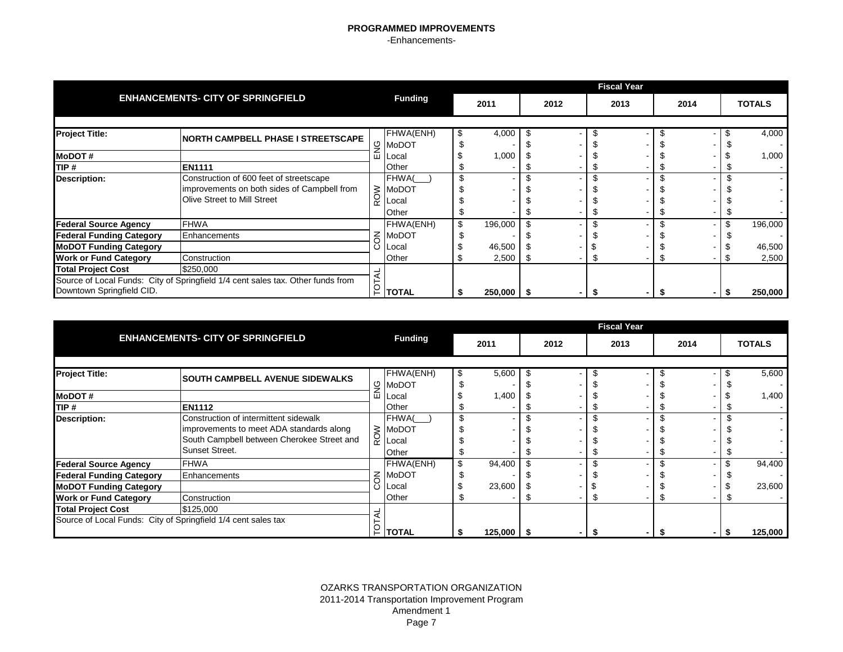|                                 |                                                                                 |          |                |               |      | <b>Fiscal Year</b> |      |               |
|---------------------------------|---------------------------------------------------------------------------------|----------|----------------|---------------|------|--------------------|------|---------------|
|                                 | <b>ENHANCEMENTS- CITY OF SPRINGFIELD</b>                                        |          | <b>Funding</b> | 2011          | 2012 | 2013               | 2014 | <b>TOTALS</b> |
|                                 |                                                                                 |          |                |               |      |                    |      |               |
| <b>Project Title:</b>           | <b>NORTH CAMPBELL PHASE I STREETSCAPE</b>                                       |          | FHWA(ENH)      | 4,000         |      |                    |      | 4,000         |
|                                 |                                                                                 |          | <u>ු</u> MoDOT |               |      |                    |      |               |
| <b>IMODOT#</b>                  |                                                                                 |          | ш  Local       | 1,000         |      |                    |      | 1,000         |
| TIP#                            | <b>EN1111</b>                                                                   |          | Other          |               |      |                    |      |               |
| <b>Description:</b>             | Construction of 600 feet of streetscape                                         |          | FHWA(          | \$            |      |                    |      |               |
|                                 | improvements on both sides of Campbell from                                     |          | $\geq$ MoDOT   |               |      |                    |      |               |
|                                 | Olive Street to Mill Street                                                     | $\alpha$ | Local          |               |      |                    |      |               |
|                                 |                                                                                 |          | Other          |               |      |                    |      |               |
| <b>Federal Source Agency</b>    | <b>FHWA</b>                                                                     |          | FHWA(ENH)      | \$<br>196,000 |      |                    |      | \$<br>196,000 |
| <b>Federal Funding Category</b> | Enhancements                                                                    |          | $\leq$ MoDOT   |               |      |                    |      |               |
| <b>MoDOT Funding Category</b>   |                                                                                 | Ö        | <b>Local</b>   | 46,500        |      |                    |      | 46,500        |
| <b>Work or Fund Category</b>    | Construction                                                                    |          | Other          | 2,500         |      |                    |      | 2,500         |
| <b>Total Project Cost</b>       | \$250,000                                                                       |          |                |               |      |                    |      |               |
|                                 | Source of Local Funds: City of Springfield 1/4 cent sales tax. Other funds from |          |                |               |      |                    |      |               |
| Downtown Springfield CID.       |                                                                                 | ГOТ,     | <b>TOTAL</b>   | $250,000$ \$  |      |                    |      | 250,000       |

|                                 |                                                               |   |                      |   |         |      | <b>Fiscal Year</b> |      |               |
|---------------------------------|---------------------------------------------------------------|---|----------------------|---|---------|------|--------------------|------|---------------|
|                                 | <b>ENHANCEMENTS- CITY OF SPRINGFIELD</b>                      |   | <b>Funding</b>       |   | 2011    | 2012 | 2013               | 2014 | <b>TOTALS</b> |
|                                 |                                                               |   |                      |   |         |      |                    |      |               |
| <b>Project Title:</b>           | <b>SOUTH CAMPBELL AVENUE SIDEWALKS</b>                        |   | FHWA(ENH)            | S | 5,600   |      |                    |      | 5,600         |
|                                 |                                                               |   | g MoDOT              |   |         |      |                    |      |               |
| <b>MoDOT#</b>                   |                                                               | ш | Local                |   | 1,400   |      |                    |      | 1,400         |
| TIP#                            | <b>EN1112</b>                                                 |   | Other                |   |         |      |                    |      |               |
| <b>Description:</b>             | Construction of intermittent sidewalk                         |   | FHWA(                |   |         |      |                    |      |               |
|                                 | improvements to meet ADA standards along                      |   | $\geq$ MoDOT         |   |         |      |                    |      |               |
|                                 | South Campbell between Cherokee Street and                    |   | $\overline{Q}$ Local |   |         |      |                    |      |               |
|                                 | Sunset Street.                                                |   | Other                |   |         |      |                    |      |               |
| <b>Federal Source Agency</b>    | <b>FHWA</b>                                                   |   | FHWA(ENH)            |   | 94,400  |      |                    |      | 94,400        |
| <b>Federal Funding Category</b> | Enhancements                                                  |   | $\leq$ MoDOT         |   |         |      |                    |      |               |
| <b>MoDOT Funding Category</b>   |                                                               |   | Local                |   | 23,600  |      |                    |      | 23,600        |
| <b>Work or Fund Category</b>    | Construction                                                  |   | Other                |   |         |      |                    |      |               |
| <b>Total Project Cost</b>       | \$125,000                                                     |   |                      |   |         |      |                    |      |               |
|                                 | Source of Local Funds: City of Springfield 1/4 cent sales tax |   |                      |   |         |      |                    |      |               |
|                                 |                                                               |   | <b>TOTAL</b>         |   | 125,000 |      |                    |      | 125,000       |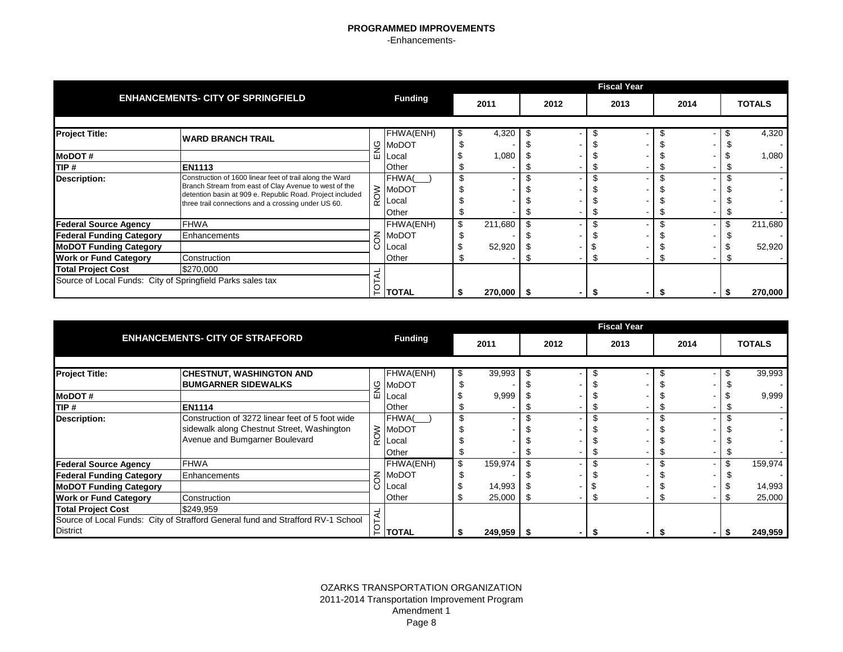|                                                                                         |                                                                                                                                                                                                                                       |              |                                                |               |      | <b>Fiscal Year</b> |         |               |
|-----------------------------------------------------------------------------------------|---------------------------------------------------------------------------------------------------------------------------------------------------------------------------------------------------------------------------------------|--------------|------------------------------------------------|---------------|------|--------------------|---------|---------------|
|                                                                                         | <b>ENHANCEMENTS- CITY OF SPRINGFIELD</b>                                                                                                                                                                                              |              | <b>Funding</b>                                 | 2011          | 2012 | 2013               | 2014    | <b>TOTALS</b> |
| <b>Project Title:</b>                                                                   | <b>IWARD BRANCH TRAIL</b>                                                                                                                                                                                                             |              | FHWA(ENH)<br>$\frac{6}{2}$ MoDOT               | 4,320         |      |                    |         | 4,320         |
| <b>MoDOT#</b><br>TIP #                                                                  | <b>EN1113</b>                                                                                                                                                                                                                         | ш            | <b>Local</b><br>Other                          | 1,080         |      |                    |         | 1,080         |
| <b>Description:</b>                                                                     | Construction of 1600 linear feet of trail along the Ward<br>Branch Stream from east of Clay Avenue to west of the<br>detention basin at 909 e. Republic Road. Project included<br>three trail connections and a crossing under US 60. | $\alpha$     | FHWA(<br>$\geq$ MoDOT<br><b>Local</b><br>Other | \$            |      |                    |         |               |
| <b>Federal Source Agency</b><br><b>Federal Funding Category</b>                         | <b>FHWA</b><br>Enhancements                                                                                                                                                                                                           | $\leq$       | FHWA(ENH)<br>MoDOT                             | \$<br>211,680 |      |                    |         | 211,680       |
| <b>MoDOT Funding Category</b><br><b>Work or Fund Category</b>                           | Construction                                                                                                                                                                                                                          |              | Local<br>Other                                 | 52,920        |      |                    |         | 52,920        |
| <b>Total Project Cost</b><br>Source of Local Funds: City of Springfield Parks sales tax | đ                                                                                                                                                                                                                                     | <b>TOTAL</b> | $270,000$   \$                                 |               |      |                    | 270,000 |               |

|                                 |                                                                                 |   |                   |               |      | <b>Fiscal Year</b> |      |    |               |
|---------------------------------|---------------------------------------------------------------------------------|---|-------------------|---------------|------|--------------------|------|----|---------------|
|                                 | <b>ENHANCEMENTS- CITY OF STRAFFORD</b>                                          |   | <b>Funding</b>    | 2011          | 2012 | 2013               | 2014 |    | <b>TOTALS</b> |
|                                 |                                                                                 |   |                   |               |      |                    |      |    |               |
| <b>Project Title:</b>           | <b>CHESTNUT, WASHINGTON AND</b>                                                 |   | FHWA(ENH)         | 39,993        |      |                    |      | S  | 39,993        |
|                                 | <b>BUMGARNER SIDEWALKS</b>                                                      |   | g MoDOT           |               |      |                    |      |    |               |
| <b>MoDOT#</b>                   |                                                                                 | ш | <b>ILocal</b>     | 9,999         |      |                    |      |    | 9,999         |
| TIP #                           | <b>EN1114</b>                                                                   |   | Other             |               |      |                    |      |    |               |
| <b>Description:</b>             | Construction of 3272 linear feet of 5 foot wide                                 |   | FHWA(             | \$            |      |                    |      |    |               |
|                                 | sidewalk along Chestnut Street, Washington                                      |   | $\geqslant$ MoDOT |               |      |                    |      |    |               |
|                                 | Avenue and Bumgarner Boulevard                                                  | Y | Local             |               |      |                    |      |    |               |
|                                 |                                                                                 |   | Other             |               |      |                    |      |    |               |
| <b>Federal Source Agency</b>    | <b>FHWA</b>                                                                     |   | FHWA(ENH)         | \$<br>159,974 |      |                    |      | \$ | 159,974       |
| <b>Federal Funding Category</b> | Enhancements                                                                    |   | $\leq$ MoDOT      |               |      |                    |      |    |               |
| <b>MoDOT Funding Category</b>   |                                                                                 |   | <b>ILocal</b>     | 14,993        |      |                    |      |    | 14,993        |
| <b>Work or Fund Category</b>    | Construction                                                                    |   | <b>Other</b>      | 25,000        |      |                    |      |    | 25,000        |
| <b>Total Project Cost</b>       | \$249,959                                                                       |   |                   |               |      |                    |      |    |               |
| <b>District</b>                 | Source of Local Funds: City of Strafford General fund and Strafford RV-1 School |   | <b>TOTAL</b>      | $249,959$ \$  |      |                    |      |    | 249,959       |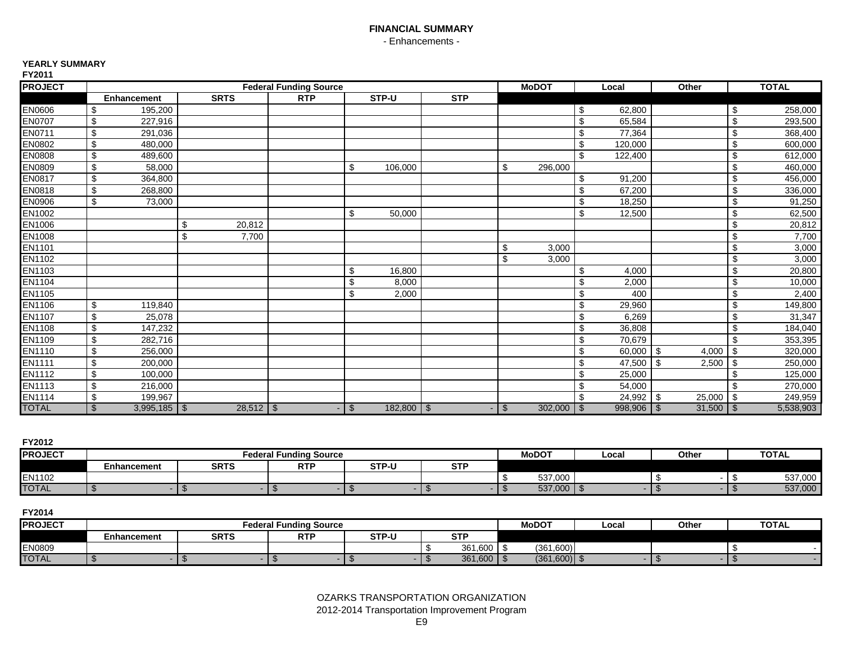## **FINANCIAL SUMMARY** - Enhancements -

#### **YEARLY SUMMARY**

| <b>PROJECT</b> | <b>Federal Funding Source</b> |              |            |    |              |     |     | <b>MoDOT</b> |                         | Local        | Other       | <b>TOTAL</b> |           |
|----------------|-------------------------------|--------------|------------|----|--------------|-----|-----|--------------|-------------------------|--------------|-------------|--------------|-----------|
|                | <b>Enhancement</b>            | <b>SRTS</b>  | <b>RTP</b> |    | STP-U        | STP |     |              |                         |              |             |              |           |
| <b>EN0606</b>  | 195.200<br>\$                 |              |            |    |              |     |     |              | \$                      | 62,800       |             | -\$          | 258,000   |
| <b>EN0707</b>  | 227,916<br>\$                 |              |            |    |              |     |     |              | \$                      | 65,584       |             | \$           | 293,500   |
| EN0711         | 291,036<br>\$                 |              |            |    |              |     |     |              | \$                      | 77,364       |             | \$           | 368,400   |
| <b>EN0802</b>  | \$<br>480,000                 |              |            |    |              |     |     |              | \$                      | 120,000      |             | \$           | 600,000   |
| EN0808         | \$<br>489,600                 |              |            |    |              |     |     |              | \$                      | 122,400      |             | \$           | 612,000   |
| EN0809         | \$<br>58,000                  |              |            | \$ | 106,000      |     | \$  | 296,000      |                         |              |             | \$           | 460,000   |
| EN0817         | \$<br>364,800                 |              |            |    |              |     |     |              | \$                      | 91,200       |             | \$           | 456,000   |
| EN0818         | \$<br>268.800                 |              |            |    |              |     |     |              | \$                      | 67,200       |             | \$           | 336,000   |
| <b>EN0906</b>  | \$<br>73,000                  |              |            |    |              |     |     |              | \$                      | 18,250       |             | \$           | 91,250    |
| EN1002         |                               |              |            | \$ | 50,000       |     |     |              | \$                      | 12,500       |             | \$           | 62,500    |
| EN1006         |                               | 20,812<br>\$ |            |    |              |     |     |              |                         |              |             | \$           | 20,812    |
| EN1008         |                               | \$<br>7,700  |            |    |              |     |     |              |                         |              |             | \$           | 7,700     |
| <b>EN1101</b>  |                               |              |            |    |              |     | \$  | 3,000        |                         |              |             | \$           | 3,000     |
| EN1102         |                               |              |            |    |              |     | \$  | 3,000        |                         |              |             | \$           | 3,000     |
| EN1103         |                               |              |            | \$ | 16.800       |     |     |              | \$                      | 4,000        |             | \$           | 20,800    |
| EN1104         |                               |              |            | \$ | 8,000        |     |     |              | \$                      | 2,000        |             | \$           | 10,000    |
| <b>EN1105</b>  |                               |              |            | \$ | 2,000        |     |     |              | \$                      | 400          |             | \$           | 2,400     |
| EN1106         | \$<br>119,840                 |              |            |    |              |     |     |              | \$                      | 29,960       |             | \$           | 149,800   |
| <b>EN1107</b>  | \$<br>25,078                  |              |            |    |              |     |     |              | $\overline{\mathbf{e}}$ | 6,269        |             | \$           | 31,347    |
| <b>EN1108</b>  | \$<br>147,232                 |              |            |    |              |     |     |              | \$                      | 36,808       |             | \$           | 184,040   |
| EN1109         | 282,716<br>\$                 |              |            |    |              |     |     |              | \$                      | 70,679       |             | \$           | 353,395   |
| <b>EN1110</b>  | \$<br>256,000                 |              |            |    |              |     |     |              | \$                      | $60,000$ \$  | 4,000       | \$           | 320,000   |
| <b>EN1111</b>  | \$<br>200,000                 |              |            |    |              |     |     |              | \$                      | 47,500 \$    | 2,500       | \$           | 250,000   |
| <b>EN1112</b>  | \$<br>100,000                 |              |            |    |              |     |     |              | \$                      | 25,000       |             | \$           | 125,000   |
| EN1113         | \$<br>216,000                 |              |            |    |              |     |     |              | \$                      | 54,000       |             | \$           | 270,000   |
| <b>EN1114</b>  | 199,967<br>\$                 |              |            |    |              |     |     |              | \$                      | $24,992$ \$  | 25,000      | -\$          | 249,959   |
| <b>TOTAL</b>   | $3,995,185$ \$<br>\$          | $28,512$ \$  |            | \$ | $182,800$ \$ |     | -\$ |              |                         | $998,906$ \$ | $31,500$ \$ |              | 5,538,903 |

**FY2012**

| .              |             |             |                        |       |            |              |       |       |              |
|----------------|-------------|-------------|------------------------|-------|------------|--------------|-------|-------|--------------|
| <b>PROJECT</b> |             |             | Federal Funding Source |       |            | <b>MoDOT</b> | Local | Other | <b>TOTAL</b> |
|                | Enhancement | <b>SRTS</b> | <b>DTI</b>             | STP-U | <b>CTD</b> |              |       |       |              |
| EN1102         |             |             |                        |       |            | 537.000      |       |       | 537,000      |
| <b>TOTAL</b>   |             |             |                        |       |            | 537,000      |       |       | 537,000      |

| <b>IPROJECT</b> |                                   | Federal | l Funding Source  |       |                 | <b>MoDOT</b>   | Local | Other | <b>TOTAL</b> |
|-----------------|-----------------------------------|---------|-------------------|-------|-----------------|----------------|-------|-------|--------------|
|                 | <b>SRTS</b><br><b>Enhancement</b> |         | <b>DTD</b><br>n i | STP-L | <b>CTI</b><br>ິ |                |       |       |              |
| EN0809          |                                   |         |                   |       | 361,600         | (361.600)      |       |       |              |
| <b>TOTAL</b>    |                                   |         |                   |       | 361,600         | $(361,600)$ \$ |       |       |              |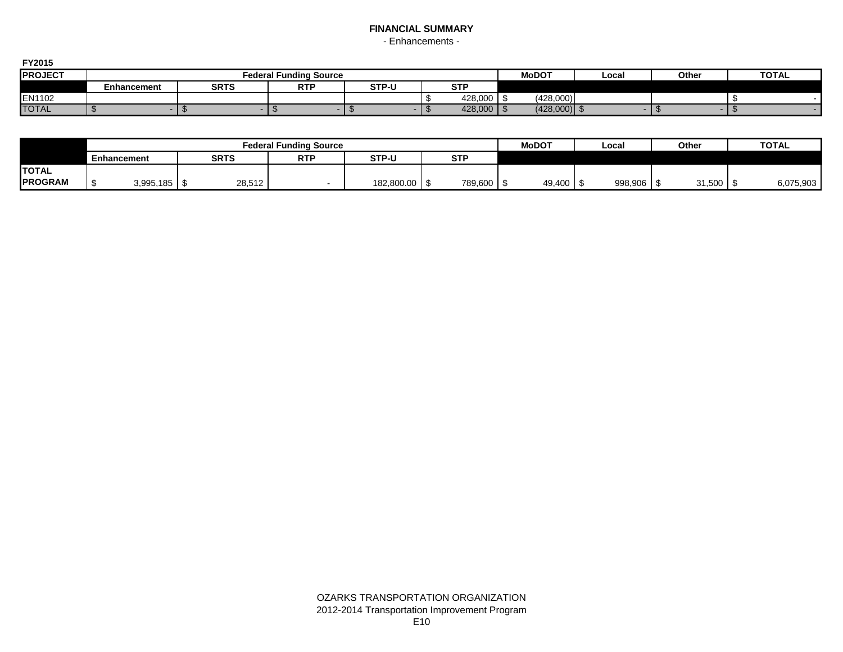# **FINANCIAL SUMMARY**

- Enhancements -

| ------         |             |             |                        |       |                      |              |       |       |              |
|----------------|-------------|-------------|------------------------|-------|----------------------|--------------|-------|-------|--------------|
| <b>PROJECT</b> |             |             | Federal Funding Source |       |                      | <b>MoDOT</b> | Local | Otheı | <b>TOTAL</b> |
|                | Enhancement | <b>SRTS</b> | <b>DTD</b><br>. .      | STP-U | $\sim$ $\sim$<br>. . |              |       |       |              |
| EN1102         |             |             |                        |       | 428.000              | (428,000)    |       |       |              |
| <b>TOTAL</b>   |             |             |                        |       | 428,000              | (428,000)    |       |       |              |

|                |             |  |             |        | <b>Federal Funding Source</b> |            |            |         | <b>MoDOT</b> | Local   | Other  | <b>TOTAL</b> |
|----------------|-------------|--|-------------|--------|-------------------------------|------------|------------|---------|--------------|---------|--------|--------------|
|                | Enhancement |  | <b>SRTS</b> |        | STP-U<br><b>RTP</b>           |            | <b>STP</b> |         |              |         |        |              |
| <b>TOTAL</b>   |             |  |             |        |                               |            |            |         |              |         |        |              |
| <b>PROGRAM</b> |             |  |             | 28,512 |                               | 182,800.00 |            | 789,600 | 49,400 \$    | 998,906 | 31,500 | 6,075,903    |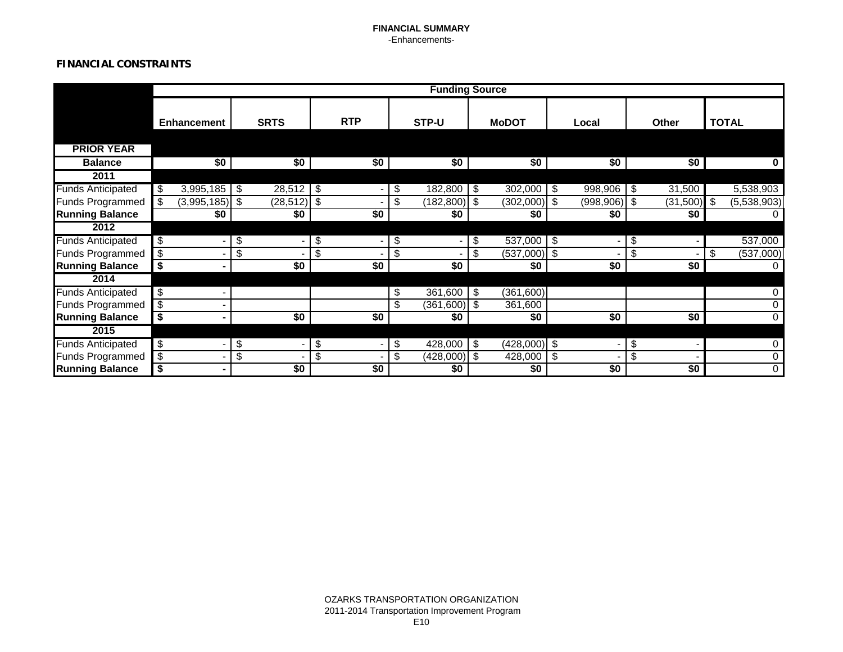### **FINANCIAL SUMMARY** -Enhancements-

## **FINANCIAL CONSTRAINTS**

|                          |                                                      |                                                      |                      |                       | <b>Funding Source</b> |                             |                 |                 |
|--------------------------|------------------------------------------------------|------------------------------------------------------|----------------------|-----------------------|-----------------------|-----------------------------|-----------------|-----------------|
|                          | <b>Enhancement</b>                                   | <b>SRTS</b>                                          | <b>RTP</b>           | STP-U                 | <b>MoDOT</b>          | Local                       | <b>Other</b>    | <b>TOTAL</b>    |
|                          |                                                      |                                                      |                      |                       |                       |                             |                 |                 |
| <b>PRIOR YEAR</b>        |                                                      |                                                      |                      |                       |                       |                             |                 |                 |
| <b>Balance</b>           | \$0                                                  | \$0                                                  | \$0                  | \$0                   | \$0                   | \$0                         | \$0             |                 |
| 2011                     |                                                      |                                                      |                      |                       |                       |                             |                 |                 |
| <b>Funds Anticipated</b> | $3,995,185$ \$<br>\$                                 | $28,512$ \$                                          | $\blacksquare$       | \$<br>182,800         | \$<br>302,000         | $\sqrt[6]{3}$<br>998,906 \$ | 31,500          | 5,538,903       |
| Funds Programmed         | $(3,995,185)$ \$<br>\$                               | $(28, 512)$ \$                                       |                      | $(182, 800)$ \$<br>\$ | $(302,000)$ \$        | $(998, 906)$ \$             | $(31,500)$ \$   | (5,538,903)     |
| <b>Running Balance</b>   | \$0                                                  | \$0                                                  | \$0                  | \$0                   | \$0                   | \$0                         | \$0             |                 |
| 2012                     |                                                      |                                                      |                      |                       |                       |                             |                 |                 |
| <b>Funds Anticipated</b> | $\overline{\mathcal{S}}$<br>$\overline{\phantom{0}}$ | $\overline{\mathcal{E}}$<br>$\overline{\phantom{0}}$ | \$<br>$\blacksquare$ | \$<br>$\blacksquare$  | $537,000$ \$<br>\$    |                             | \$              | 537,000         |
| <b>Funds Programmed</b>  | \$                                                   | \$                                                   | \$                   | \$                    | \$<br>$(537,000)$ \$  |                             | \$              | \$<br>(537,000) |
| <b>Running Balance</b>   |                                                      | \$0                                                  | \$0                  | \$0                   | \$0                   | \$0                         | \$0             |                 |
| 2014                     |                                                      |                                                      |                      |                       |                       |                             |                 |                 |
| <b>Funds Anticipated</b> | \$                                                   |                                                      |                      | 361,600<br>\$         | (361,600)<br>-\$      |                             |                 |                 |
| <b>Funds Programmed</b>  | \$                                                   |                                                      |                      | \$<br>$(361,600)$ \$  | 361,600               |                             |                 |                 |
| <b>Running Balance</b>   | ۰                                                    | \$0                                                  | \$0                  | \$0                   | \$0                   | \$0                         | $\overline{50}$ |                 |
| 2015                     |                                                      |                                                      |                      |                       |                       |                             |                 |                 |
| <b>Funds Anticipated</b> | \$<br>-                                              | \$<br>$\overline{\phantom{0}}$                       | \$<br>$\blacksquare$ | \$<br>428,000         | $(428,000)$ \$<br>\$  |                             | \$              |                 |
| <b>Funds Programmed</b>  | \$                                                   | $\overline{\mathcal{E}}$                             | \$                   | \$<br>$(428,000)$ \$  | 428,000               | -\$                         | \$              |                 |
| <b>Running Balance</b>   |                                                      | $\overline{50}$                                      | \$0                  | \$0                   | \$0                   | \$0                         | $\overline{50}$ |                 |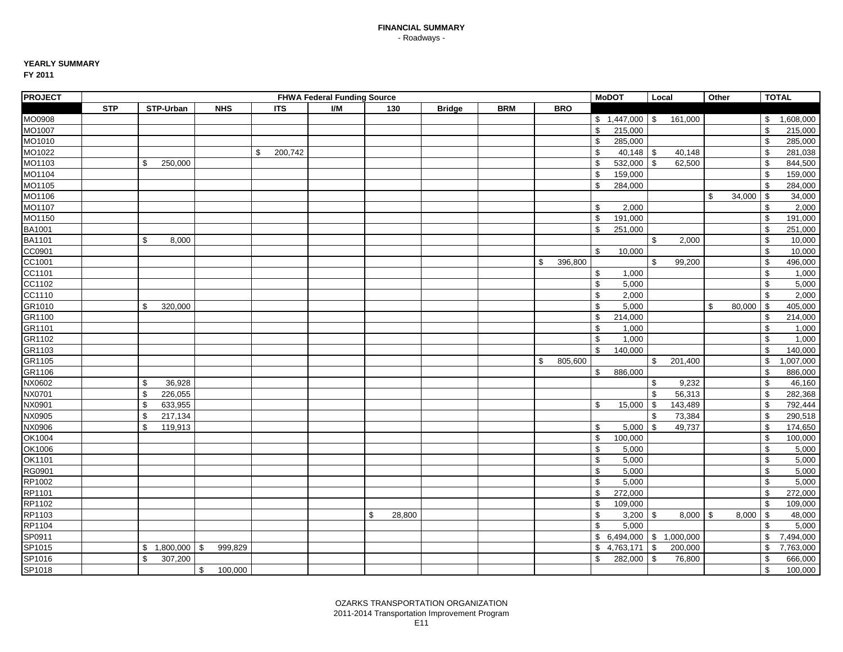# **YEARLY SUMMARY**

| <b>PROJECT</b> |            |                 |                |               | <b>FHWA Federal Funding Source</b> |              |               |            |               | <b>MoDOT</b>              | Local          |         | Other         |        |                | <b>TOTAL</b> |
|----------------|------------|-----------------|----------------|---------------|------------------------------------|--------------|---------------|------------|---------------|---------------------------|----------------|---------|---------------|--------|----------------|--------------|
|                | <b>STP</b> | STP-Urban       | <b>NHS</b>     | <b>ITS</b>    | I/M                                | 130          | <b>Bridge</b> | <b>BRM</b> | <b>BRO</b>    |                           |                |         |               |        |                |              |
| MO0908         |            |                 |                |               |                                    |              |               |            |               | $$1,447,000$ \ \$         |                | 161,000 |               |        | \$             | 1,608,000    |
| MO1007         |            |                 |                |               |                                    |              |               |            |               | \$<br>215,000             |                |         |               |        | \$             | 215,000      |
| MO1010         |            |                 |                |               |                                    |              |               |            |               | \$<br>285,000             |                |         |               |        | $\mathfrak s$  | 285,000      |
| MO1022         |            |                 |                | 200,742<br>\$ |                                    |              |               |            |               | \$<br>$40,148$ \$         |                | 40,148  |               |        | \$             | 281,038      |
| MO1103         |            | \$<br>250,000   |                |               |                                    |              |               |            |               | \$<br>532,000             | l \$           | 62,500  |               |        | \$             | 844,500      |
| MO1104         |            |                 |                |               |                                    |              |               |            |               | \$<br>159,000             |                |         |               |        | \$             | 159,000      |
| MO1105         |            |                 |                |               |                                    |              |               |            |               | \$<br>284,000             |                |         |               |        | \$             | 284,000      |
| MO1106         |            |                 |                |               |                                    |              |               |            |               |                           |                |         | \$            | 34,000 | $\mathfrak s$  | 34,000       |
| MO1107         |            |                 |                |               |                                    |              |               |            |               | \$<br>2,000               |                |         |               |        | \$             | 2,000        |
| MO1150         |            |                 |                |               |                                    |              |               |            |               | \$<br>191,000             |                |         |               |        | \$             | 191,000      |
| BA1001         |            |                 |                |               |                                    |              |               |            |               | \$<br>251,000             |                |         |               |        | \$             | 251,000      |
| <b>BA1101</b>  |            | \$<br>8,000     |                |               |                                    |              |               |            |               |                           | \$             | 2,000   |               |        | \$             | 10,000       |
| CC0901         |            |                 |                |               |                                    |              |               |            |               | \$<br>10,000              |                |         |               |        | \$             | 10,000       |
| CC1001         |            |                 |                |               |                                    |              |               |            | \$<br>396,800 |                           | \$             | 99,200  |               |        | \$             | 496,000      |
| CC1101         |            |                 |                |               |                                    |              |               |            |               | \$<br>1,000               |                |         |               |        | $\,$           | 1,000        |
| CC1102         |            |                 |                |               |                                    |              |               |            |               | \$<br>5,000               |                |         |               |        | \$             | 5,000        |
| CC1110         |            |                 |                |               |                                    |              |               |            |               | \$<br>2,000               |                |         |               |        | \$             | 2,000        |
| GR1010         |            | \$<br>320,000   |                |               |                                    |              |               |            |               | \$<br>5,000               |                |         | \$            | 80,000 | $\mathfrak s$  | 405,000      |
| GR1100         |            |                 |                |               |                                    |              |               |            |               | \$<br>214,000             |                |         |               |        | \$             | 214,000      |
| GR1101         |            |                 |                |               |                                    |              |               |            |               | \$<br>1,000               |                |         |               |        | \$             | 1,000        |
| GR1102         |            |                 |                |               |                                    |              |               |            |               | \$<br>1,000               |                |         |               |        | \$             | 1,000        |
| GR1103         |            |                 |                |               |                                    |              |               |            |               | \$<br>140,000             |                |         |               |        | \$             | 140,000      |
| GR1105         |            |                 |                |               |                                    |              |               |            | \$<br>805,600 |                           | \$             | 201,400 |               |        | \$             | 1,007,000    |
| GR1106         |            |                 |                |               |                                    |              |               |            |               | \$<br>886,000             |                |         |               |        | \$             | 886,000      |
| NX0602         |            | \$<br>36,928    |                |               |                                    |              |               |            |               |                           | \$             | 9,232   |               |        | $\mathfrak s$  | 46,160       |
| NX0701         |            | \$<br>226,055   |                |               |                                    |              |               |            |               |                           | $\mathfrak{S}$ | 56,313  |               |        | \$             | 282,368      |
| NX0901         |            | \$<br>633,955   |                |               |                                    |              |               |            |               | \$<br>15,000              | $\sqrt{3}$     | 143,489 |               |        | \$             | 792,444      |
| NX0905         |            | \$<br>217,134   |                |               |                                    |              |               |            |               |                           | \$             | 73,384  |               |        | \$             | 290,518      |
| NX0906         |            | \$<br>119,913   |                |               |                                    |              |               |            |               | \$<br>5,000               | \$             | 49,737  |               |        | \$             | 174,650      |
| OK1004         |            |                 |                |               |                                    |              |               |            |               | \$<br>100,000             |                |         |               |        | \$             | 100,000      |
| OK1006         |            |                 |                |               |                                    |              |               |            |               | \$<br>5,000               |                |         |               |        | \$             | 5,000        |
| OK1101         |            |                 |                |               |                                    |              |               |            |               | \$<br>5,000               |                |         |               |        | \$             | 5,000        |
| RG0901         |            |                 |                |               |                                    |              |               |            |               | \$<br>5,000               |                |         |               |        | \$             | 5,000        |
| RP1002         |            |                 |                |               |                                    |              |               |            |               | \$<br>5,000               |                |         |               |        | \$             | 5,000        |
| RP1101         |            |                 |                |               |                                    |              |               |            |               | \$<br>272,000             |                |         |               |        | $\mathfrak s$  | 272,000      |
| RP1102         |            |                 |                |               |                                    |              |               |            |               | \$<br>109,000             |                |         |               |        | \$             | 109,000      |
| RP1103         |            |                 |                |               |                                    | \$<br>28,800 |               |            |               | \$<br>3,200               | l \$           | 8,000   | $\sqrt[6]{3}$ | 8,000  | \$             | 48,000       |
| RP1104         |            |                 |                |               |                                    |              |               |            |               | \$<br>5,000               |                |         |               |        | \$             | 5,000        |
| SP0911         |            |                 |                |               |                                    |              |               |            |               | $$6,494,000$ $$1,000,000$ |                |         |               |        | \$             | 7,494,000    |
| SP1015         |            | 1,800,000<br>\$ | 999,829<br>-\$ |               |                                    |              |               |            |               | \$<br>4,763,171           | \$             | 200,000 |               |        | \$             | 7,763,000    |
| SP1016         |            | \$<br>307,200   |                |               |                                    |              |               |            |               | \$<br>282,000             | -\$            | 76,800  |               |        | \$             | 666,000      |
| SP1018         |            |                 | \$<br>100,000  |               |                                    |              |               |            |               |                           |                |         |               |        | $$\mathbb{S}$$ | 100,000      |
|                |            |                 |                |               |                                    |              |               |            |               |                           |                |         |               |        |                |              |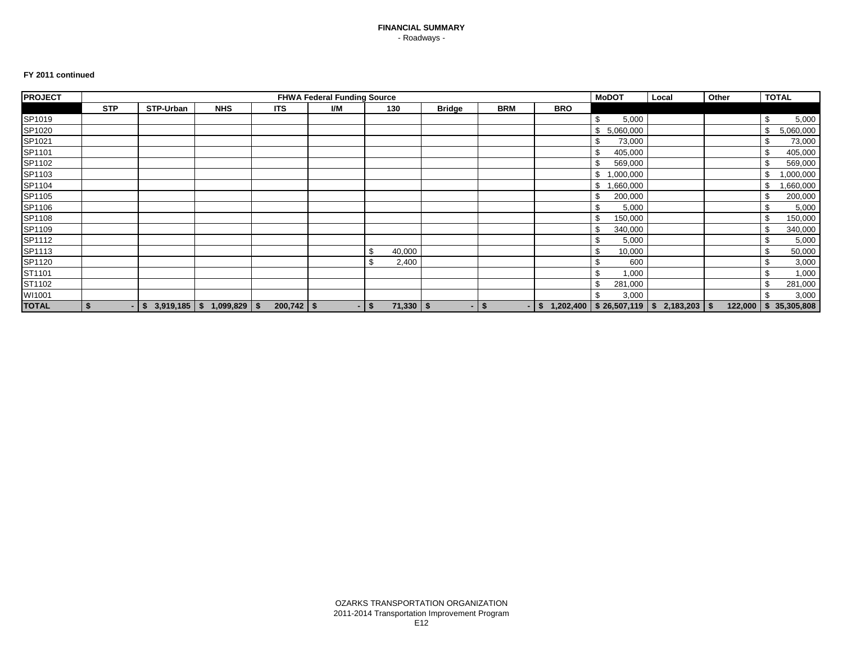#### **FY 2011 continued**

| <b>PROJECT</b> |            |                                  |            |              | <b>FHWA Federal Funding Source</b> |                   |               |            |                                                      | <b>MoDOT</b>    | Local | Other | <b>TOTAL</b>          |
|----------------|------------|----------------------------------|------------|--------------|------------------------------------|-------------------|---------------|------------|------------------------------------------------------|-----------------|-------|-------|-----------------------|
|                | <b>STP</b> | STP-Urban                        | <b>NHS</b> | <b>ITS</b>   | I/M                                | 130               | <b>Bridge</b> | <b>BRM</b> | <b>BRO</b>                                           |                 |       |       |                       |
| SP1019         |            |                                  |            |              |                                    |                   |               |            |                                                      | \$<br>5,000     |       |       | \$<br>5,000           |
| SP1020         |            |                                  |            |              |                                    |                   |               |            |                                                      | \$<br>5,060,000 |       |       | 5,060,000<br>-\$      |
| SP1021         |            |                                  |            |              |                                    |                   |               |            |                                                      | \$<br>73,000    |       |       | 73,000<br>\$          |
| SP1101         |            |                                  |            |              |                                    |                   |               |            |                                                      | 405,000<br>\$   |       |       | 405,000               |
| SP1102         |            |                                  |            |              |                                    |                   |               |            |                                                      | 569,000         |       |       | 569,000               |
| SP1103         |            |                                  |            |              |                                    |                   |               |            |                                                      | \$<br>000,000,  |       |       | 1,000,000             |
| SP1104         |            |                                  |            |              |                                    |                   |               |            |                                                      | \$<br>,660,000  |       |       | ,660,000<br>-S        |
| SP1105         |            |                                  |            |              |                                    |                   |               |            |                                                      | \$<br>200,000   |       |       | 200,000               |
| SP1106         |            |                                  |            |              |                                    |                   |               |            |                                                      | 5,000<br>S      |       |       | 5,000                 |
| SP1108         |            |                                  |            |              |                                    |                   |               |            |                                                      | \$<br>150,000   |       |       | 150,000               |
| SP1109         |            |                                  |            |              |                                    |                   |               |            |                                                      | 340,000<br>\$.  |       |       | 340,000               |
| SP1112         |            |                                  |            |              |                                    |                   |               |            |                                                      | 5,000           |       |       | 5,000                 |
| SP1113         |            |                                  |            |              |                                    | -\$<br>40,000     |               |            |                                                      | \$<br>10,000    |       |       | 50,000                |
| SP1120         |            |                                  |            |              |                                    | -\$<br>2,400      |               |            |                                                      | \$<br>600       |       |       | \$<br>3,000           |
| ST1101         |            |                                  |            |              |                                    |                   |               |            |                                                      | \$<br>1,000     |       |       | 1,000<br>\$           |
| ST1102         |            |                                  |            |              |                                    |                   |               |            |                                                      | \$<br>281,000   |       |       | 281,000<br>-S         |
| WI1001         |            |                                  |            |              |                                    |                   |               |            |                                                      | \$<br>3,000     |       |       | 3,000                 |
| <b>TOTAL</b>   |            | $-$ \$ 3,919,185 \$ 1,099,829 \$ |            | $200,742$ \$ |                                    | 71,330<br>$-1$ \$ | -S            | - \$       | $-$ \$ 1,202,400   \$ 26,507,119   \$ 2,183,203   \$ |                 |       |       | 122,000 \$ 35,305,808 |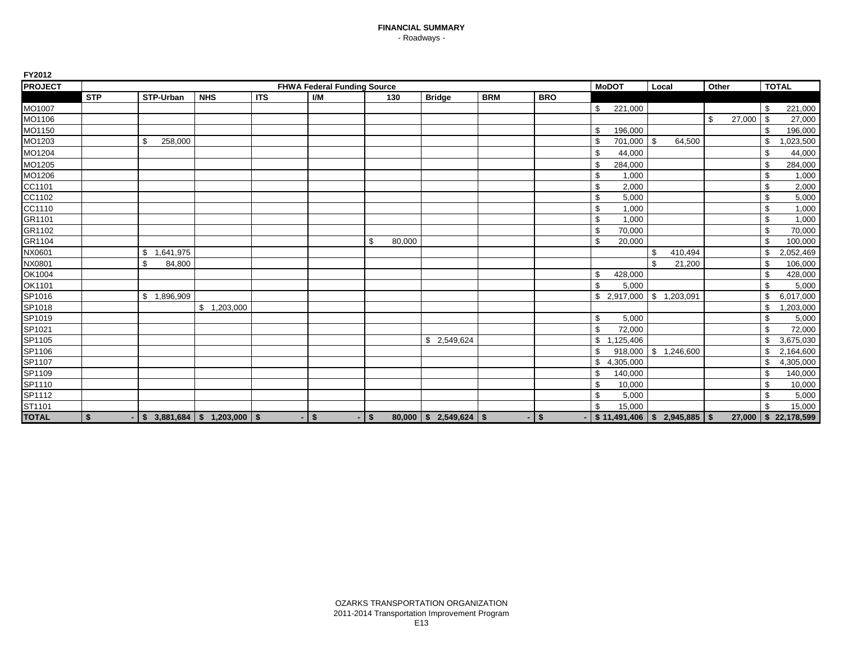| <b>PROJECT</b>   |            |                                  |             |            | <b>FHWA Federal Funding Source</b> |              |                          |            |            |                | <b>MoDOT</b>                        | Local |           | Other |        |                | <b>TOTAL</b>        |
|------------------|------------|----------------------------------|-------------|------------|------------------------------------|--------------|--------------------------|------------|------------|----------------|-------------------------------------|-------|-----------|-------|--------|----------------|---------------------|
|                  | <b>STP</b> | STP-Urban                        | <b>NHS</b>  | <b>ITS</b> | I/M                                | 130          | <b>Bridge</b>            | <b>BRM</b> | <b>BRO</b> |                |                                     |       |           |       |        |                |                     |
| MO1007           |            |                                  |             |            |                                    |              |                          |            |            | \$             | 221,000                             |       |           |       |        | \$             | 221,000             |
| MO1106           |            |                                  |             |            |                                    |              |                          |            |            |                |                                     |       |           | \$    | 27,000 | l \$           | 27,000              |
| MO1150           |            |                                  |             |            |                                    |              |                          |            |            | \$             | 196,000                             |       |           |       |        |                | 196,000             |
| MO1203           |            | \$<br>258,000                    |             |            |                                    |              |                          |            |            | \$             | 701,000 \$                          |       | 64,500    |       |        | \$             | 1,023,500           |
| MO1204           |            |                                  |             |            |                                    |              |                          |            |            | \$             | 44,000                              |       |           |       |        | \$             | 44,000              |
| MO1205           |            |                                  |             |            |                                    |              |                          |            |            | \$             | 284,000                             |       |           |       |        | \$             | 284,000             |
| MO1206           |            |                                  |             |            |                                    |              |                          |            |            | \$             | 1,000                               |       |           |       |        | \$             | 1,000               |
| CC1101           |            |                                  |             |            |                                    |              |                          |            |            | \$             | 2,000                               |       |           |       |        | \$             | 2,000               |
| CC1102<br>CC1110 |            |                                  |             |            |                                    |              |                          |            |            | \$             | 5,000                               |       |           |       |        | \$             | 5,000               |
|                  |            |                                  |             |            |                                    |              |                          |            |            | \$             | 1,000                               |       |           |       |        | \$             | 1,000               |
| GR1101           |            |                                  |             |            |                                    |              |                          |            |            | \$             | 1,000                               |       |           |       |        | \$             | 1,000               |
| GR1102           |            |                                  |             |            |                                    |              |                          |            |            | \$             | 70,000                              |       |           |       |        | \$             | 70,000              |
| GR1104           |            |                                  |             |            |                                    | 80,000<br>\$ |                          |            |            | \$             | 20,000                              |       |           |       |        | \$             | 100,000             |
| NX0601           |            | \$<br>1,641,975                  |             |            |                                    |              |                          |            |            |                |                                     | \$    | 410,494   |       |        |                | 2,052,469           |
| NX0801           |            | \$<br>84,800                     |             |            |                                    |              |                          |            |            |                |                                     | \$    | 21,200    |       |        | \$             | 106,000             |
| OK1004           |            |                                  |             |            |                                    |              |                          |            |            | \$             | 428,000                             |       |           |       |        | \$             | 428,000             |
| OK1101           |            |                                  |             |            |                                    |              |                          |            |            | $\mathfrak{L}$ | 5,000                               |       |           |       |        | £.             | 5,000               |
| SP1016           |            | \$1,896,909                      |             |            |                                    |              |                          |            |            |                |                                     |       | 1,203,091 |       |        | \$             | 6,017,000           |
| SP1018<br>SP1019 |            |                                  | \$1,203,000 |            |                                    |              |                          |            |            |                |                                     |       |           |       |        | \$             | 1,203,000           |
|                  |            |                                  |             |            |                                    |              |                          |            |            | \$             | 5,000                               |       |           |       |        | \$             | 5,000               |
| SP1021           |            |                                  |             |            |                                    |              |                          |            |            | \$             | 72,000                              |       |           |       |        | \$             | 72,000              |
| SP1105           |            |                                  |             |            |                                    |              | \$2,549,624              |            |            | $\mathbb{S}$   | ,125,406<br>$\overline{\mathbf{1}}$ |       |           |       |        | $\mathfrak{S}$ | 3,675,030           |
| SP1106           |            |                                  |             |            |                                    |              |                          |            |            | \$             | $918,000$ \$                        |       | 1,246,600 |       |        |                | 2,164,600           |
| SP1107<br>SP1109 |            |                                  |             |            |                                    |              |                          |            |            | \$             | 4,305,000                           |       |           |       |        | \$             | 4,305,000           |
|                  |            |                                  |             |            |                                    |              |                          |            |            | \$             | 140,000                             |       |           |       |        | \$             | 140,000             |
| SP1110           |            |                                  |             |            |                                    |              |                          |            |            | \$             | 10,000                              |       |           |       |        | \$             | 10,000              |
| SP1112           |            |                                  |             |            |                                    |              |                          |            |            | \$             | 5,000                               |       |           |       |        | <sup>\$</sup>  | 5,000               |
| ST1101           |            |                                  |             |            |                                    |              |                          |            |            | \$             | 15,000                              |       |           |       |        | \$             | 15,000              |
| <b>TOTAL</b>     | \$         | $-$ \$ 3,881,684 \$ 1,203,000 \$ |             |            | $-1$ \$                            | $-1$ \$      | $80,000$ \$ 2,549,624 \$ |            | $-1$ \$    |                | $-$ \$11,491,406 \$2,945,885 \$     |       |           |       |        |                | 27,000 \$22,178,599 |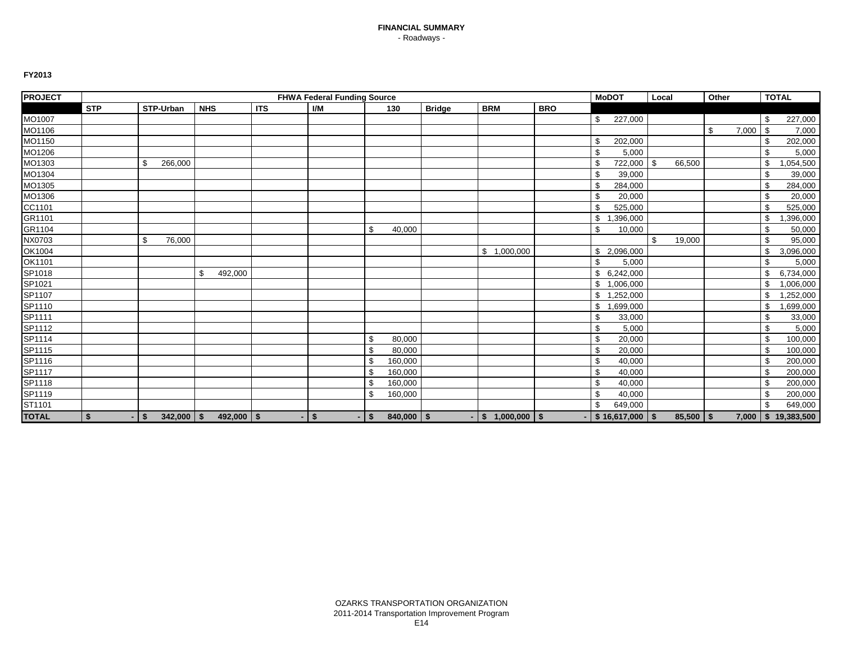| <b>PROJECT</b> |            |                              |               |            | <b>FHWA Federal Funding Source</b> |              |              |               |                               |            | <b>MoDOT</b>                     | Local |             | Other |       |      | <b>TOTAL</b> |
|----------------|------------|------------------------------|---------------|------------|------------------------------------|--------------|--------------|---------------|-------------------------------|------------|----------------------------------|-------|-------------|-------|-------|------|--------------|
|                | <b>STP</b> | <b>STP-Urban</b>             | <b>NHS</b>    | <b>ITS</b> | I/M                                |              | 130          | <b>Bridge</b> | <b>BRM</b>                    | <b>BRO</b> |                                  |       |             |       |       |      |              |
| MO1007         |            |                              |               |            |                                    |              |              |               |                               |            | \$<br>227,000                    |       |             |       |       | \$   | 227,000      |
| MO1106         |            |                              |               |            |                                    |              |              |               |                               |            |                                  |       |             | \$    | 7,000 | l \$ | 7,000        |
| MO1150         |            |                              |               |            |                                    |              |              |               |                               |            | \$<br>202,000                    |       |             |       |       |      | 202,000      |
| MO1206         |            |                              |               |            |                                    |              |              |               |                               |            | \$<br>5,000                      |       |             |       |       |      | 5,000        |
| MO1303         |            | \$<br>266,000                |               |            |                                    |              |              |               |                               |            | \$<br>722,000 \$                 |       | 66,500      |       |       | \$   | ,054,500     |
| MO1304         |            |                              |               |            |                                    |              |              |               |                               |            | \$<br>39,000                     |       |             |       |       | \$   | 39,000       |
| MO1305         |            |                              |               |            |                                    |              |              |               |                               |            | \$<br>284,000                    |       |             |       |       | \$   | 284,000      |
| MO1306         |            |                              |               |            |                                    |              |              |               |                               |            | \$<br>20,000                     |       |             |       |       | \$   | 20,000       |
| CC1101         |            |                              |               |            |                                    |              |              |               |                               |            | \$<br>525,000                    |       |             |       |       | \$   | 525,000      |
| GR1101         |            |                              |               |            |                                    |              |              |               |                               |            | \$<br>,396,000                   |       |             |       |       | \$   | 1,396,000    |
| GR1104         |            |                              |               |            |                                    | \$           | 40,000       |               |                               |            | \$<br>10,000                     |       |             |       |       | \$.  | 50,000       |
| NX0703         |            | \$<br>76,000                 |               |            |                                    |              |              |               |                               |            |                                  | \$    | 19,000      |       |       | \$   | 95,000       |
| OK1004         |            |                              |               |            |                                    |              |              |               | \$1,000,000                   |            | \$2,096,000                      |       |             |       |       | \$   | 3,096,000    |
| OK1101         |            |                              |               |            |                                    |              |              |               |                               |            | \$<br>5,000                      |       |             |       |       | \$   | 5,000        |
| SP1018         |            |                              | 492,000<br>\$ |            |                                    |              |              |               |                               |            | \$6,242,000                      |       |             |       |       | \$.  | 6,734,000    |
| SP1021         |            |                              |               |            |                                    |              |              |               |                               |            | \$1,006,000                      |       |             |       |       | \$   | 1,006,000    |
| SP1107         |            |                              |               |            |                                    |              |              |               |                               |            | \$1,252,000                      |       |             |       |       | \$   | ,252,000     |
| SP1110         |            |                              |               |            |                                    |              |              |               |                               |            | \$<br>,699,000<br>$\overline{1}$ |       |             |       |       | \$   | 1,699,000    |
| SP1111         |            |                              |               |            |                                    |              |              |               |                               |            | \$<br>33,000                     |       |             |       |       | \$   | 33,000       |
| SP1112         |            |                              |               |            |                                    |              |              |               |                               |            | \$<br>5,000                      |       |             |       |       | \$   | 5,000        |
| SP1114         |            |                              |               |            |                                    | \$           | 80,000       |               |                               |            | \$<br>20,000                     |       |             |       |       | \$   | 100,000      |
| SP1115         |            |                              |               |            |                                    | \$           | 80,000       |               |                               |            | \$<br>20,000                     |       |             |       |       | \$   | 100,000      |
| SP1116         |            |                              |               |            |                                    | \$           | 160,000      |               |                               |            | \$<br>40,000                     |       |             |       |       | \$   | 200,000      |
| SP1117         |            |                              |               |            |                                    | \$           | 160,000      |               |                               |            | \$<br>40,000                     |       |             |       |       | \$   | 200,000      |
| SP1118         |            |                              |               |            |                                    | \$           | 160,000      |               |                               |            | \$<br>40,000                     |       |             |       |       |      | 200,000      |
| SP1119         |            |                              |               |            |                                    | \$           | 160,000      |               |                               |            | \$<br>40,000                     |       |             |       |       | \$   | 200,000      |
| ST1101         |            |                              |               |            |                                    |              |              |               |                               |            | \$<br>649,000                    |       |             |       |       |      | 649,000      |
| <b>TOTAL</b>   | \$         | $\vert$ \$<br>$342,000$ \ \$ | $492,000$ \$  |            | $\sqrt{S}$                         | $\mathsf{I}$ | $840,000$ \$ |               | $\frac{1}{2}$ \$ 1,000,000 \$ |            | $\vert$ \$ 16,617,000 $\vert$ \$ |       | $85,500$ \$ |       | 7,000 |      | \$19,383,500 |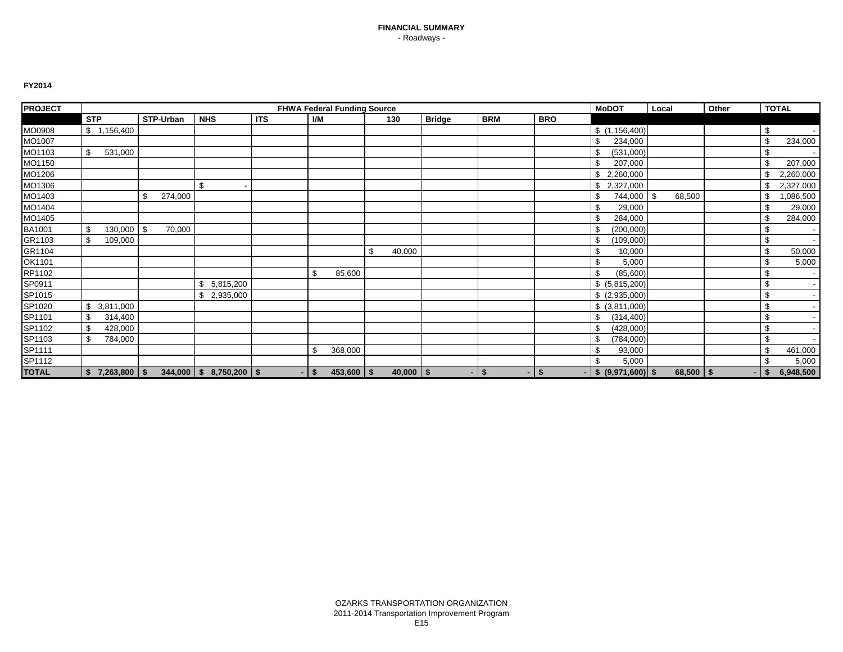| <b>PROJECT</b> |                                  |               |                               |            |      | <b>FHWA Federal Funding Source</b> |               |               |                   |            | <b>MoDOT</b>          | Local        | Other |      | <b>TOTAL</b> |
|----------------|----------------------------------|---------------|-------------------------------|------------|------|------------------------------------|---------------|---------------|-------------------|------------|-----------------------|--------------|-------|------|--------------|
|                | <b>STP</b>                       | STP-Urban     | <b>NHS</b>                    | <b>ITS</b> | I/M  |                                    | 130           | <b>Bridge</b> | <b>BRM</b>        | <b>BRO</b> |                       |              |       |      |              |
| MO0908         | \$1,156,400                      |               |                               |            |      |                                    |               |               |                   |            | \$(1, 156, 400)       |              |       | \$   |              |
| MO1007         |                                  |               |                               |            |      |                                    |               |               |                   |            | \$<br>234,000         |              |       | \$   | 234,000      |
| MO1103         | \$<br>531,000                    |               |                               |            |      |                                    |               |               |                   |            | \$<br>(531,000)       |              |       |      |              |
| MO1150         |                                  |               |                               |            |      |                                    |               |               |                   |            | \$<br>207,000         |              |       |      | 207,000      |
| MO1206         |                                  |               |                               |            |      |                                    |               |               |                   |            | 2,260,000             |              |       |      | 2,260,000    |
| MO1306         |                                  |               | \$                            |            |      |                                    |               |               |                   |            | \$<br>2,327,000       |              |       |      | 2,327,000    |
| MO1403         |                                  | \$<br>274,000 |                               |            |      |                                    |               |               |                   |            | \$<br>744,000         | \$<br>68,500 |       |      | ,086,500     |
| MO1404         |                                  |               |                               |            |      |                                    |               |               |                   |            | \$<br>29,000          |              |       |      | 29,000       |
| MO1405         |                                  |               |                               |            |      |                                    |               |               |                   |            | \$<br>284,000         |              |       |      | 284,000      |
| BA1001         | \$<br>$130,000$ \$               | 70,000        |                               |            |      |                                    |               |               |                   |            | (200,000)             |              |       | \$   |              |
| GR1103         | \$<br>109,000                    |               |                               |            |      |                                    |               |               |                   |            | \$<br>(109,000)       |              |       | \$   |              |
| GR1104         |                                  |               |                               |            |      |                                    | \$<br>40,000  |               |                   |            | \$<br>10,000          |              |       | £.   | 50,000       |
| OK1101         |                                  |               |                               |            |      |                                    |               |               |                   |            | \$<br>5,000           |              |       |      | 5,000        |
| RP1102         |                                  |               |                               |            | \$   | 85,600                             |               |               |                   |            | \$<br>(85,600)        |              |       | \$   |              |
| SP0911         |                                  |               | 5,815,200<br>£.               |            |      |                                    |               |               |                   |            | \$ (5,815,200)        |              |       | \$   |              |
| SP1015         |                                  |               | 2,935,000                     |            |      |                                    |               |               |                   |            | \$ (2,935,000)        |              |       | \$   |              |
| SP1020         | \$3,811,000                      |               |                               |            |      |                                    |               |               |                   |            | \$ (3,811,000)        |              |       | \$   |              |
| SP1101         | \$<br>314,400                    |               |                               |            |      |                                    |               |               |                   |            | \$<br>(314, 400)      |              |       | \$   |              |
| SP1102         | \$<br>428,000                    |               |                               |            |      |                                    |               |               |                   |            | \$<br>(428,000)       |              |       | S    |              |
| SP1103         | \$<br>784,000                    |               |                               |            |      |                                    |               |               |                   |            | \$<br>(784,000)       |              |       | \$   |              |
| SP1111         |                                  |               |                               |            | \$   | 368,000                            |               |               |                   |            | \$<br>93,000          |              |       | \$   | 461,000      |
| SP1112         |                                  |               |                               |            |      |                                    |               |               |                   |            | \$<br>5,000           |              |       |      | 5,000        |
| <b>TOTAL</b>   | $7,263,800$ $\sqrt{5}$<br>$\sim$ |               | $344,000$   \$ 8,750,200   \$ | - 1        | - \$ | $453,600$   \$                     | $40,000$ \ \$ |               | $-1$ \$<br>$\sim$ | -\$        | $-$ \$ (9,971,600) \$ | $68,500$ \$  | ۰     | - \$ | 6,948,500    |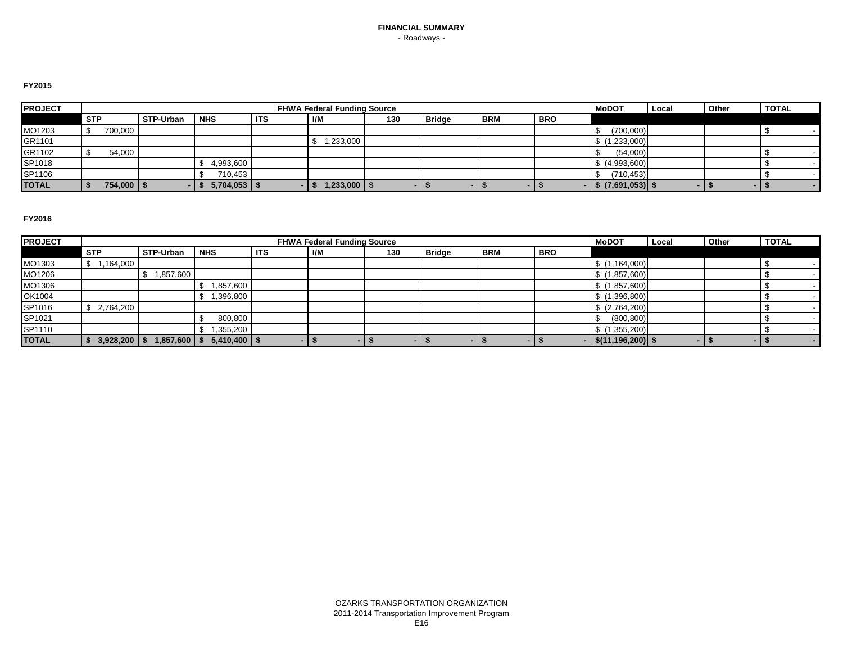#### **FY2015**

| <b>PROJECT</b> |            |                |           |            |            |     | <b>FHWA Federal Funding Source</b> |     |               |            |            | <b>MoDOT</b>           | Local | Other | <b>TOTAL</b> |        |
|----------------|------------|----------------|-----------|------------|------------|-----|------------------------------------|-----|---------------|------------|------------|------------------------|-------|-------|--------------|--------|
|                | <b>STP</b> |                | STP-Urban | <b>NHS</b> | <b>ITS</b> | I/M |                                    | 130 | <b>Bridge</b> | <b>BRM</b> | <b>BRO</b> |                        |       |       |              |        |
| MO1203         |            | 700,000        |           |            |            |     |                                    |     |               |            |            | (700,000)              |       |       |              |        |
| GR1101         |            |                |           |            |            |     | 1,233,000                          |     |               |            |            | \$(1,233,000)          |       |       |              |        |
| GR1102         |            | 54,000         |           |            |            |     |                                    |     |               |            |            | (54,000)               |       |       |              |        |
| SP1018         |            |                |           | 4,993,600  |            |     |                                    |     |               |            |            | \$ (4,993,600)         |       |       |              |        |
| SP1106         |            |                |           | 710,453    |            |     |                                    |     |               |            |            | (710, 453)             |       |       |              |        |
| <b>TOTAL</b>   |            | $754,000$ \ \$ |           | 5,704,053  |            |     | $1,233,000$   \$                   |     |               | . .        |            | -   \$ (7,691,053)  \$ |       |       |              | $\sim$ |

| <b>PROJECT</b> |                  |           |                  |            | <b>FHWA Federal Funding Source</b> |     |               |                          |            | <b>MoDOT</b>             | Local | Other | <b>TOTAL</b> |
|----------------|------------------|-----------|------------------|------------|------------------------------------|-----|---------------|--------------------------|------------|--------------------------|-------|-------|--------------|
|                | <b>STP</b>       | STP-Urban | <b>NHS</b>       | <b>ITS</b> | I/M                                | 130 | <b>Bridge</b> | <b>BRM</b>               | <b>BRO</b> |                          |       |       |              |
| MO1303         | 1,164,000<br>\$  |           |                  |            |                                    |     |               |                          |            | \$(1,164,000)            |       |       |              |
| MO1206         |                  | 1,857,600 |                  |            |                                    |     |               |                          |            | \$(1,857,600)            |       |       |              |
| MO1306         |                  |           | 1,857,600        |            |                                    |     |               |                          |            | \$(1,857,600)            |       |       |              |
| OK1004         |                  |           | ,396,800         |            |                                    |     |               |                          |            | (1,396,800)              |       |       |              |
| SP1016         | 2,764,200<br>\$. |           |                  |            |                                    |     |               |                          |            | \$(2,764,200)            |       |       |              |
| SP1021         |                  |           | 800,800          |            |                                    |     |               |                          |            | (800, 800)               |       |       |              |
| SP1110         |                  |           | ,355,200         |            |                                    |     |               |                          |            | (1,355,200)              |       |       |              |
| <b>TOTAL</b>   | $3,928,200$ \ \$ | 1,857,600 | $5,410,400$   \$ |            |                                    |     | - 1           | $\overline{\phantom{a}}$ |            | $-$   \$(11,196,200)  \$ | . .   |       |              |